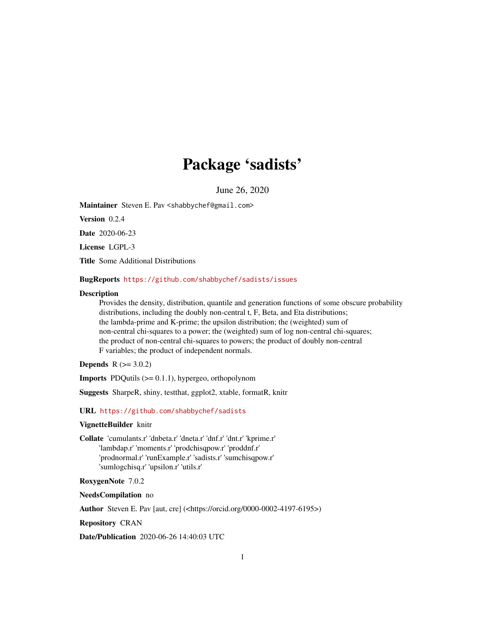# Package 'sadists'

June 26, 2020

<span id="page-0-0"></span>Maintainer Steven E. Pav <shabbychef@gmail.com>

Version 0.2.4

Date 2020-06-23

License LGPL-3

Title Some Additional Distributions

## BugReports <https://github.com/shabbychef/sadists/issues>

#### **Description**

Provides the density, distribution, quantile and generation functions of some obscure probability distributions, including the doubly non-central t, F, Beta, and Eta distributions; the lambda-prime and K-prime; the upsilon distribution; the (weighted) sum of non-central chi-squares to a power; the (weighted) sum of log non-central chi-squares; the product of non-central chi-squares to powers; the product of doubly non-central F variables; the product of independent normals.

**Depends**  $R (= 3.0.2)$ 

Imports PDQutils (>= 0.1.1), hypergeo, orthopolynom

Suggests SharpeR, shiny, testthat, ggplot2, xtable, formatR, knitr

URL <https://github.com/shabbychef/sadists>

# VignetteBuilder knitr

Collate 'cumulants.r' 'dnbeta.r' 'dneta.r' 'dnf.r' 'dnt.r' 'kprime.r' 'lambdap.r' 'moments.r' 'prodchisqpow.r' 'proddnf.r' 'prodnormal.r' 'runExample.r' 'sadists.r' 'sumchisqpow.r' 'sumlogchisq.r' 'upsilon.r' 'utils.r'

# RoxygenNote 7.0.2

# NeedsCompilation no

Author Steven E. Pav [aut, cre] (<https://orcid.org/0000-0002-4197-6195>)

Repository CRAN

Date/Publication 2020-06-26 14:40:03 UTC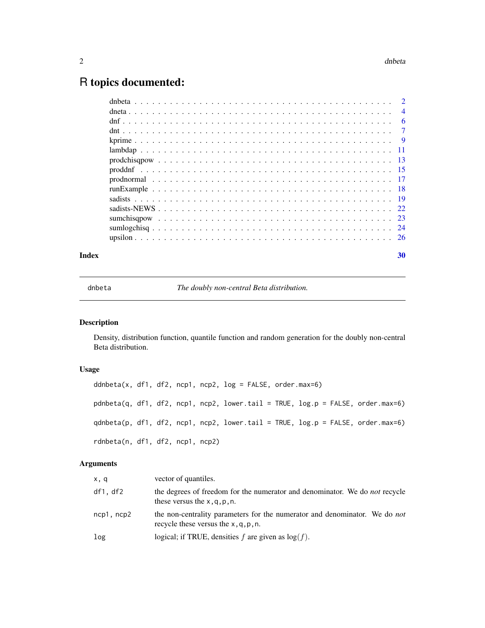# <span id="page-1-0"></span>R topics documented:

| Index | 30 |
|-------|----|
|       |    |
|       |    |
|       |    |
|       |    |
|       |    |
|       |    |
|       |    |
|       |    |
|       |    |
|       |    |
|       |    |
|       |    |
|       |    |
|       |    |
|       |    |

dnbeta *The doubly non-central Beta distribution.*

# <span id="page-1-1"></span>Description

Density, distribution function, quantile function and random generation for the doubly non-central Beta distribution.

# Usage

```
ddnbeta(x, df1, df2, ncp1, ncp2, log = FALSE, order.max=6)
pdnbeta(q, df1, df2, ncp1, ncp2, lower.tail = TRUE, log.p = FALSE, order.max=6)
qdnbeta(p, df1, df2, ncp1, ncp2, lower.tail = TRUE, log.p = FALSE, order.max=6)
rdnbeta(n, df1, df2, ncp1, ncp2)
```
# Arguments

| x, q       | vector of quantiles.                                                                                                         |
|------------|------------------------------------------------------------------------------------------------------------------------------|
| df1, df2   | the degrees of freedom for the numerator and denominator. We do <i>not</i> recycle<br>these versus the $x, q, p, n$ .        |
| ncp1, ncp2 | the non-centrality parameters for the numerator and denominator. We do <i>not</i><br>recycle these versus the $x, q, p, n$ . |
| log        | logical; if TRUE, densities f are given as $log(f)$ .                                                                        |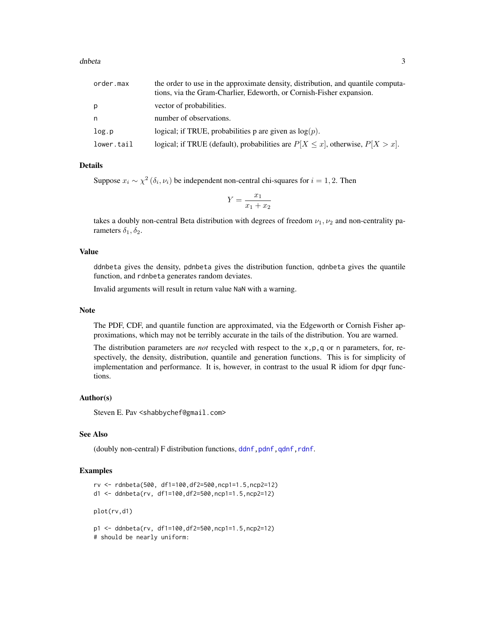#### <span id="page-2-0"></span>dnbeta 3

| order.max  | the order to use in the approximate density, distribution, and quantile computa-<br>tions, via the Gram-Charlier, Edeworth, or Cornish-Fisher expansion. |
|------------|----------------------------------------------------------------------------------------------------------------------------------------------------------|
| р          | vector of probabilities.                                                                                                                                 |
| n          | number of observations.                                                                                                                                  |
| log.p      | logical; if TRUE, probabilities p are given as $log(p)$ .                                                                                                |
| lower.tail | logical; if TRUE (default), probabilities are $P[X \le x]$ , otherwise, $P[X > x]$ .                                                                     |

# Details

Suppose  $x_i \sim \chi^2(\delta_i, \nu_i)$  be independent non-central chi-squares for  $i = 1, 2$ . Then

$$
Y = \frac{x_1}{x_1 + x_2}
$$

takes a doubly non-central Beta distribution with degrees of freedom  $\nu_1, \nu_2$  and non-centrality parameters  $\delta_1, \delta_2$ .

# Value

ddnbeta gives the density, pdnbeta gives the distribution function, qdnbeta gives the quantile function, and rdnbeta generates random deviates.

Invalid arguments will result in return value NaN with a warning.

# Note

The PDF, CDF, and quantile function are approximated, via the Edgeworth or Cornish Fisher approximations, which may not be terribly accurate in the tails of the distribution. You are warned.

The distribution parameters are *not* recycled with respect to the x,p,q or n parameters, for, respectively, the density, distribution, quantile and generation functions. This is for simplicity of implementation and performance. It is, however, in contrast to the usual R idiom for dpqr functions.

#### Author(s)

Steven E. Pav <shabbychef@gmail.com>

# See Also

(doubly non-central) F distribution functions, ddnf, pdnf, qdnf, rdnf.

## Examples

```
rv <- rdnbeta(500, df1=100,df2=500,ncp1=1.5,ncp2=12)
d1 <- ddnbeta(rv, df1=100,df2=500,ncp1=1.5,ncp2=12)
plot(rv,d1)
p1 <- ddnbeta(rv, df1=100,df2=500,ncp1=1.5,ncp2=12)
```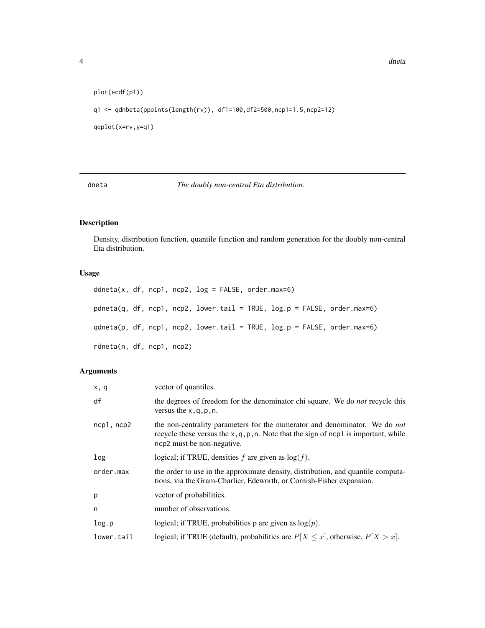```
plot(ecdf(p1))
q1 <- qdnbeta(ppoints(length(rv)), df1=100,df2=500,ncp1=1.5,ncp2=12)
qqplot(x=rv,y=q1)
```
dneta *The doubly non-central Eta distribution.*

# Description

Density, distribution function, quantile function and random generation for the doubly non-central Eta distribution.

# Usage

```
ddneta(x, df, ncp1, ncp2, log = FALSE, order.max=6)pdneta(q, df, ncp1, ncp2, lower.tail = TRUE, log.p = FALSE, order.max=6)
qdneta(p, df, ncp1, ncp2, lower.tail = TRUE, log.p = FALSE, order.max=6)
rdneta(n, df, ncp1, ncp2)
```
# Arguments

| x, q            | vector of quantiles.                                                                                                                                                                                      |
|-----------------|-----------------------------------------------------------------------------------------------------------------------------------------------------------------------------------------------------------|
| df              | the degrees of freedom for the denominator chi square. We do <i>not</i> recycle this<br>versus the $x, q, p, n$ .                                                                                         |
| $ncp1$ , $ncp2$ | the non-centrality parameters for the numerator and denominator. We do <i>not</i><br>recycle these versus the $x, q, p, n$ . Note that the sign of ncp1 is important, while<br>ncp2 must be non-negative. |
| log             | logical; if TRUE, densities f are given as $log(f)$ .                                                                                                                                                     |
| order.max       | the order to use in the approximate density, distribution, and quantile computa-<br>tions, via the Gram-Charlier, Edeworth, or Cornish-Fisher expansion.                                                  |
| p               | vector of probabilities.                                                                                                                                                                                  |
| n               | number of observations.                                                                                                                                                                                   |
| log.p           | logical; if TRUE, probabilities p are given as $log(p)$ .                                                                                                                                                 |
| lower.tail      | logical; if TRUE (default), probabilities are $P[X \le x]$ , otherwise, $P[X > x]$ .                                                                                                                      |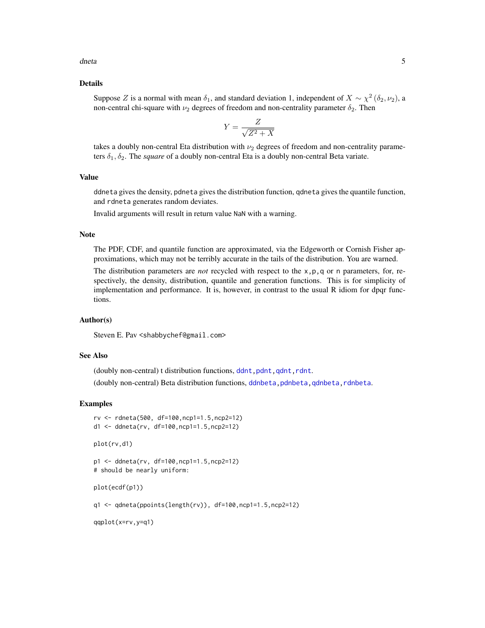<span id="page-4-0"></span>dneta 5

## Details

Suppose Z is a normal with mean  $\delta_1$ , and standard deviation 1, independent of  $X \sim \chi^2(\delta_2, \nu_2)$ , a non-central chi-square with  $\nu_2$  degrees of freedom and non-centrality parameter  $\delta_2$ . Then

$$
Y = \frac{Z}{\sqrt{Z^2 + X}}
$$

takes a doubly non-central Eta distribution with  $\nu_2$  degrees of freedom and non-centrality parameters  $\delta_1, \delta_2$ . The *square* of a doubly non-central Eta is a doubly non-central Beta variate.

# Value

ddneta gives the density, pdneta gives the distribution function, qdneta gives the quantile function, and rdneta generates random deviates.

Invalid arguments will result in return value NaN with a warning.

#### Note

The PDF, CDF, and quantile function are approximated, via the Edgeworth or Cornish Fisher approximations, which may not be terribly accurate in the tails of the distribution. You are warned.

The distribution parameters are *not* recycled with respect to the x,p,q or n parameters, for, respectively, the density, distribution, quantile and generation functions. This is for simplicity of implementation and performance. It is, however, in contrast to the usual R idiom for dpqr functions.

#### Author(s)

Steven E. Pav <shabbychef@gmail.com>

# See Also

(doubly non-central) t distribution functions, ddnt, pdnt, qdnt, rdnt.

(doubly non-central) Beta distribution functions, ddnbeta, pdnbeta, qdnbeta, rdnbeta.

#### Examples

```
rv <- rdneta(500, df=100,ncp1=1.5,ncp2=12)
d1 <- ddneta(rv, df=100,ncp1=1.5,ncp2=12)
```
plot(rv,d1)

p1 <- ddneta(rv, df=100,ncp1=1.5,ncp2=12) # should be nearly uniform:

plot(ecdf(p1))

q1 <- qdneta(ppoints(length(rv)), df=100,ncp1=1.5,ncp2=12)

qqplot(x=rv,y=q1)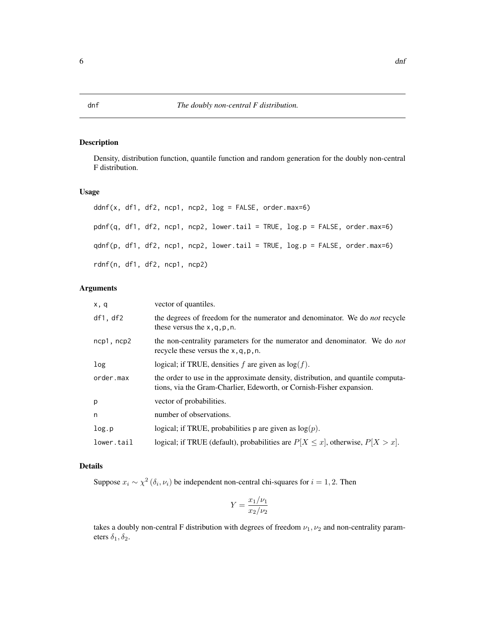# <span id="page-5-1"></span><span id="page-5-0"></span>Description

Density, distribution function, quantile function and random generation for the doubly non-central F distribution.

# Usage

```
ddnf(x, df1, df2, ncp1, ncp2, log = FALSE, order.max=6)
pdnf(q, df1, df2, ncp1, ncp2, lower.tail = TRUE, log.p = FALSE, order.max=6)
qdnf(p, df1, df2, ncp1, ncp2, lower.tail = TRUE, log.p = FALSE, order.max=6)
rdnf(n, df1, df2, ncp1, ncp2)
```
# Arguments

| x, q       | vector of quantiles.                                                                                                                                     |
|------------|----------------------------------------------------------------------------------------------------------------------------------------------------------|
| df1, df2   | the degrees of freedom for the numerator and denominator. We do <i>not</i> recycle<br>these versus the $x, q, p, n$ .                                    |
| ncp1, ncp2 | the non-centrality parameters for the numerator and denominator. We do <i>not</i><br>recycle these versus the $x, q, p, n$ .                             |
| log        | logical; if TRUE, densities f are given as $log(f)$ .                                                                                                    |
| order.max  | the order to use in the approximate density, distribution, and quantile computa-<br>tions, via the Gram-Charlier, Edeworth, or Cornish-Fisher expansion. |
| p          | vector of probabilities.                                                                                                                                 |
| n          | number of observations.                                                                                                                                  |
| log.p      | logical; if TRUE, probabilities p are given as $log(p)$ .                                                                                                |
| lower.tail | logical; if TRUE (default), probabilities are $P[X \le x]$ , otherwise, $P[X > x]$ .                                                                     |

# Details

Suppose  $x_i \sim \chi^2(\delta_i, \nu_i)$  be independent non-central chi-squares for  $i = 1, 2$ . Then

$$
Y = \frac{x_1/\nu_1}{x_2/\nu_2}
$$

takes a doubly non-central F distribution with degrees of freedom  $\nu_1, \nu_2$  and non-centrality parameters  $\delta_1, \delta_2$ .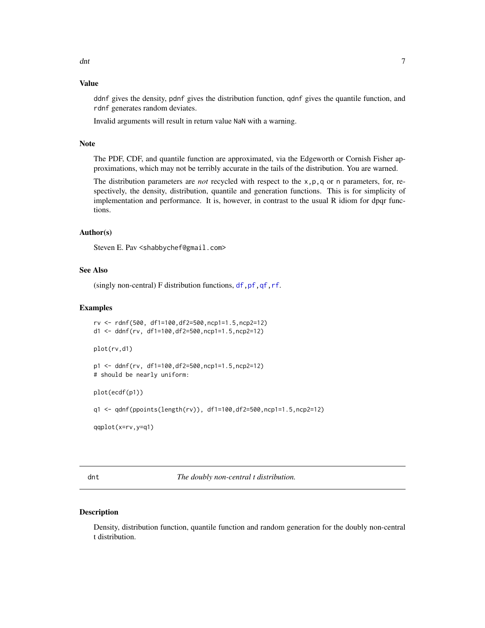# <span id="page-6-0"></span>Value

ddnf gives the density, pdnf gives the distribution function, qdnf gives the quantile function, and rdnf generates random deviates.

Invalid arguments will result in return value NaN with a warning.

# Note

The PDF, CDF, and quantile function are approximated, via the Edgeworth or Cornish Fisher approximations, which may not be terribly accurate in the tails of the distribution. You are warned.

The distribution parameters are *not* recycled with respect to the x,p,q or n parameters, for, respectively, the density, distribution, quantile and generation functions. This is for simplicity of implementation and performance. It is, however, in contrast to the usual R idiom for dpqr functions.

#### Author(s)

Steven E. Pav <shabbychef@gmail.com>

# See Also

(singly non-central) F distribution functions,  $df,pf,qf,rf$ .

#### Examples

```
rv <- rdnf(500, df1=100,df2=500,ncp1=1.5,ncp2=12)
d1 <- ddnf(rv, df1=100,df2=500,ncp1=1.5,ncp2=12)
plot(rv,d1)
p1 <- ddnf(rv, df1=100,df2=500,ncp1=1.5,ncp2=12)
# should be nearly uniform:
plot(ecdf(p1))
q1 <- qdnf(ppoints(length(rv)), df1=100,df2=500,ncp1=1.5,ncp2=12)
```
qqplot(x=rv,y=q1)

dnt *The doubly non-central t distribution.*

# <span id="page-6-1"></span>Description

Density, distribution function, quantile function and random generation for the doubly non-central t distribution.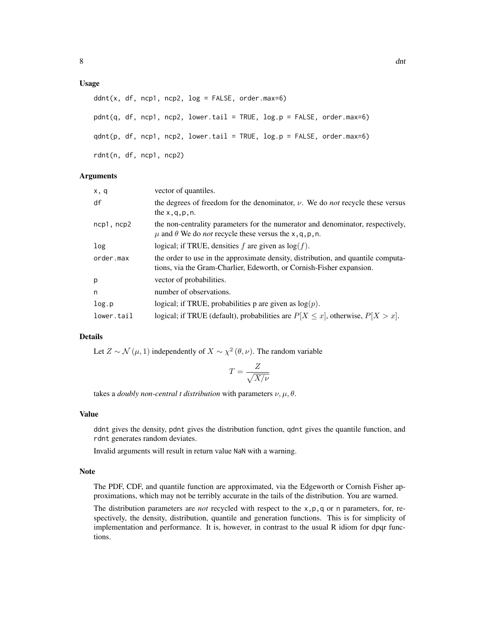# Usage

```
ddnt(x, df, ncp1, ncp2, log = FALSE, order.max=6)pdnt(q, df, ncp1, ncp2, lower.tail = TRUE, log.p = FALSE, order.max=6)
qdnt(p, df, ncp1, ncp2, lower.tail = TRUE, log.p = FALSE, order.max=6)
rdnt(n, df, ncp1, ncp2)
```
#### Arguments

| vector of quantiles.                                                                                                                                       |
|------------------------------------------------------------------------------------------------------------------------------------------------------------|
| the degrees of freedom for the denominator, $\nu$ . We do <i>not</i> recycle these versus<br>the $x, q, p, n$ .                                            |
| the non-centrality parameters for the numerator and denominator, respectively,<br>$\mu$ and $\theta$ We do <i>not</i> recycle these versus the x, q, p, n. |
| logical; if TRUE, densities $f$ are given as $log(f)$ .                                                                                                    |
| the order to use in the approximate density, distribution, and quantile computa-<br>tions, via the Gram-Charlier, Edeworth, or Cornish-Fisher expansion.   |
| vector of probabilities.                                                                                                                                   |
| number of observations.                                                                                                                                    |
| logical; if TRUE, probabilities p are given as $log(p)$ .                                                                                                  |
| logical; if TRUE (default), probabilities are $P[X \le x]$ , otherwise, $P[X > x]$ .                                                                       |
|                                                                                                                                                            |

# Details

Let  $Z \sim \mathcal{N}(\mu, 1)$  independently of  $X \sim \chi^2(\theta, \nu)$ . The random variable

$$
T = \frac{Z}{\sqrt{X/\nu}}
$$

takes a *doubly non-central t distribution* with parameters  $\nu, \mu, \theta$ .

# Value

ddnt gives the density, pdnt gives the distribution function, qdnt gives the quantile function, and rdnt generates random deviates.

Invalid arguments will result in return value NaN with a warning.

# Note

The PDF, CDF, and quantile function are approximated, via the Edgeworth or Cornish Fisher approximations, which may not be terribly accurate in the tails of the distribution. You are warned.

The distribution parameters are *not* recycled with respect to the x,p,q or n parameters, for, respectively, the density, distribution, quantile and generation functions. This is for simplicity of implementation and performance. It is, however, in contrast to the usual R idiom for dpqr functions.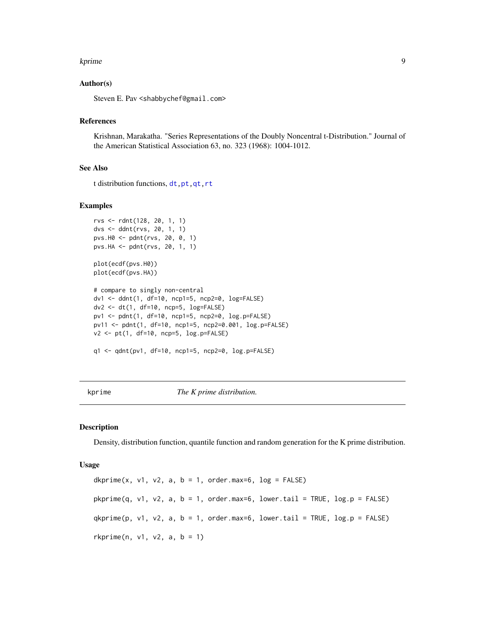#### <span id="page-8-0"></span>kprime to the second second second second second second second second second second second second second second second second second second second second second second second second second second second second second secon

# Author(s)

Steven E. Pav <shabbychef@gmail.com>

# References

Krishnan, Marakatha. "Series Representations of the Doubly Noncentral t-Distribution." Journal of the American Statistical Association 63, no. 323 (1968): 1004-1012.

# See Also

t distribution functions, [dt,pt,qt,rt](#page-0-0)

# Examples

```
rvs <- rdnt(128, 20, 1, 1)
dvs <- ddnt(rvs, 20, 1, 1)
pvs.H0 <- pdnt(rvs, 20, 0, 1)
pvs.HA <- pdnt(rvs, 20, 1, 1)
plot(ecdf(pvs.H0))
plot(ecdf(pvs.HA))
# compare to singly non-central
dv1 <- ddnt(1, df=10, ncp1=5, ncp2=0, log=FALSE)
dv2 <- dt(1, df=10, ncp=5, log=FALSE)
pv1 <- pdnt(1, df=10, ncp1=5, ncp2=0, log.p=FALSE)
pv11 <- pdnt(1, df=10, ncp1=5, ncp2=0.001, log.p=FALSE)
v2 <- pt(1, df=10, ncp=5, log.p=FALSE)
q1 <- qdnt(pv1, df=10, ncp1=5, ncp2=0, log.p=FALSE)
```
kprime *The K prime distribution.*

#### <span id="page-8-1"></span>Description

Density, distribution function, quantile function and random generation for the K prime distribution.

#### Usage

dkprime(x, v1, v2, a,  $b = 1$ , order.max=6,  $log = FALSE$ )  $phprime(q, v1, v2, a, b = 1, order.max=6, lower$  $.tail = TRUE, log.p = FALSE)$  $qkprime(p, v1, v2, a, b = 1, order.max=6, lower.tail = TRUE, log.p = FALSE)$  $rkprime(n, v1, v2, a, b = 1)$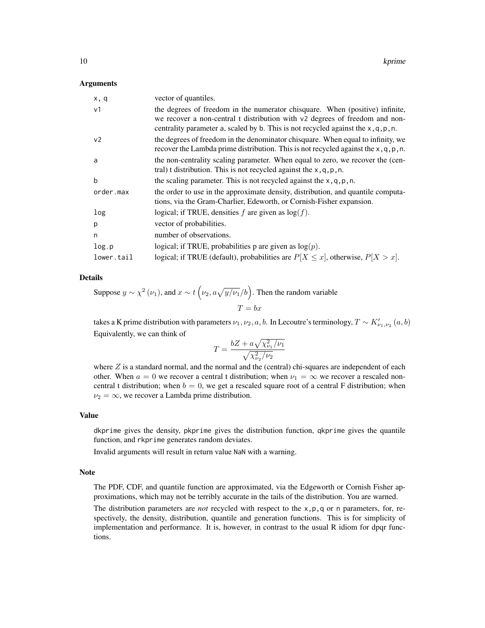#### Arguments

| x, q           | vector of quantiles.                                                                                                                                                      |
|----------------|---------------------------------------------------------------------------------------------------------------------------------------------------------------------------|
| v <sub>1</sub> | the degrees of freedom in the numerator chisquare. When (positive) infinite,                                                                                              |
|                | we recover a non-central t distribution with v2 degrees of freedom and non-<br>centrality parameter a, scaled by b. This is not recycled against the $x, q, p, n$ .       |
| v <sub>2</sub> | the degrees of freedom in the denominator chisquare. When equal to infinity, we<br>recover the Lambda prime distribution. This is not recycled against the $x, q, p, n$ . |
| a              | the non-centrality scaling parameter. When equal to zero, we recover the (cen-<br>tral) t distribution. This is not recycled against the $x, q, p, n$ .                   |
| h              | the scaling parameter. This is not recycled against the $x, q, p, n$ .                                                                                                    |
| order.max      | the order to use in the approximate density, distribution, and quantile computa-<br>tions, via the Gram-Charlier, Edeworth, or Cornish-Fisher expansion.                  |
| log            | logical; if TRUE, densities f are given as $log(f)$ .                                                                                                                     |
| p              | vector of probabilities.                                                                                                                                                  |
| n              | number of observations.                                                                                                                                                   |
| log.p          | logical; if TRUE, probabilities p are given as $log(p)$ .                                                                                                                 |
| lower.tail     | logical; if TRUE (default), probabilities are $P[X \le x]$ , otherwise, $P[X > x]$ .                                                                                      |

# Details

Suppose 
$$
y \sim \chi^2(\nu_1)
$$
, and  $x \sim t(\nu_2, a\sqrt{y/\nu_1}/b)$ . Then the random variable  
\n
$$
T = bx
$$

takes a K prime distribution with parameters  $\nu_1, \nu_2, a, b$ . In Lecoutre's terminology,  $T \sim K'_{\nu_1,\nu_2}(a,b)$ Equivalently, we can think of

$$
T = \frac{bZ + a\sqrt{\chi_{\nu_1}^2/\nu_1}}{\sqrt{\chi_{\nu_2}^2/\nu_2}}
$$

where  $Z$  is a standard normal, and the normal and the (central) chi-squares are independent of each other. When  $a = 0$  we recover a central t distribution; when  $\nu_1 = \infty$  we recover a rescaled noncentral t distribution; when  $b = 0$ , we get a rescaled square root of a central F distribution; when  $\nu_2 = \infty$ , we recover a Lambda prime distribution.

# Value

dkprime gives the density, pkprime gives the distribution function, qkprime gives the quantile function, and rkprime generates random deviates.

Invalid arguments will result in return value NaN with a warning.

#### Note

The PDF, CDF, and quantile function are approximated, via the Edgeworth or Cornish Fisher approximations, which may not be terribly accurate in the tails of the distribution. You are warned.

The distribution parameters are *not* recycled with respect to the x,p,q or n parameters, for, respectively, the density, distribution, quantile and generation functions. This is for simplicity of implementation and performance. It is, however, in contrast to the usual R idiom for dpqr functions.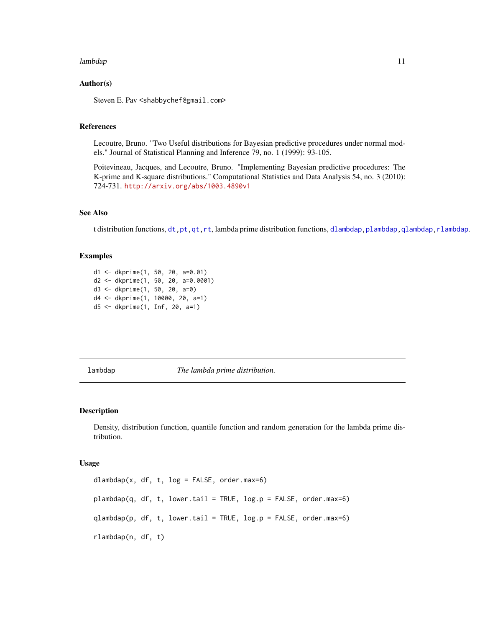#### <span id="page-10-0"></span>lambdap anns anns an 11 an t-Iaraba. Tha anns an t-Iaraba anns an 11 an t-Iaraba anns an 11 an t-Iaraba anns a

# Author(s)

Steven E. Pav <shabbychef@gmail.com>

# References

Lecoutre, Bruno. "Two Useful distributions for Bayesian predictive procedures under normal models." Journal of Statistical Planning and Inference 79, no. 1 (1999): 93-105.

Poitevineau, Jacques, and Lecoutre, Bruno. "Implementing Bayesian predictive procedures: The K-prime and K-square distributions." Computational Statistics and Data Analysis 54, no. 3 (2010): 724-731. <http://arxiv.org/abs/1003.4890v1>

# See Also

t distribution functions, [dt,pt,qt,rt](#page-0-0), lambda prime distribution functions, [dlambdap,plambdap,qlambdap,rlambdap](#page-10-1).

# Examples

```
d1 <- dkprime(1, 50, 20, a=0.01)
d2 <- dkprime(1, 50, 20, a=0.0001)
d3 <- dkprime(1, 50, 20, a=0)
d4 <- dkprime(1, 10000, 20, a=1)
d5 <- dkprime(1, Inf, 20, a=1)
```
lambdap *The lambda prime distribution.*

# <span id="page-10-1"></span>Description

Density, distribution function, quantile function and random generation for the lambda prime distribution.

#### Usage

dlambdap(x, df, t,  $log = FALSE$ , order.max=6)  $plambdap(q, df, t, lower.tail = TRUE, log.p = FALSE, order.max=6)$  $q$ lambdap(p, df, t, lower.tail = TRUE,  $log.p =$  FALSE, order.max=6) rlambdap(n, df, t)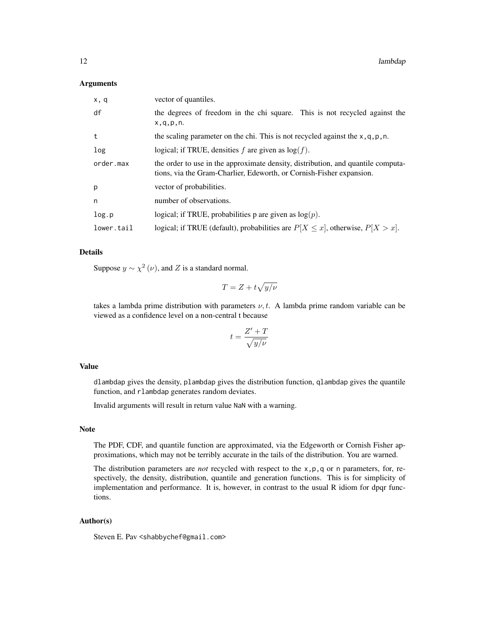#### **Arguments**

| x, q       | vector of quantiles.                                                                                                                                     |
|------------|----------------------------------------------------------------------------------------------------------------------------------------------------------|
| df         | the degrees of freedom in the chi square. This is not recycled against the<br>x, q, p, n.                                                                |
| t          | the scaling parameter on the chi. This is not recycled against the $x, q, p, n$ .                                                                        |
| log        | logical; if TRUE, densities f are given as $log(f)$ .                                                                                                    |
| order.max  | the order to use in the approximate density, distribution, and quantile computa-<br>tions, via the Gram-Charlier, Edeworth, or Cornish-Fisher expansion. |
| p          | vector of probabilities.                                                                                                                                 |
| n          | number of observations.                                                                                                                                  |
| log.p      | logical; if TRUE, probabilities p are given as $log(p)$ .                                                                                                |
| lower.tail | logical; if TRUE (default), probabilities are $P[X \le x]$ , otherwise, $P[X > x]$ .                                                                     |

# Details

Suppose  $y \sim \chi^2(\nu)$ , and Z is a standard normal.

$$
T = Z + t\sqrt{y/\nu}
$$

takes a lambda prime distribution with parameters  $\nu$ , t. A lambda prime random variable can be viewed as a confidence level on a non-central t because

$$
t = \frac{Z' + T}{\sqrt{y/\nu}}
$$

# Value

dlambdap gives the density, plambdap gives the distribution function, qlambdap gives the quantile function, and rlambdap generates random deviates.

Invalid arguments will result in return value NaN with a warning.

#### Note

The PDF, CDF, and quantile function are approximated, via the Edgeworth or Cornish Fisher approximations, which may not be terribly accurate in the tails of the distribution. You are warned.

The distribution parameters are *not* recycled with respect to the x,p,q or n parameters, for, respectively, the density, distribution, quantile and generation functions. This is for simplicity of implementation and performance. It is, however, in contrast to the usual R idiom for dpqr functions.

# Author(s)

Steven E. Pav <shabbychef@gmail.com>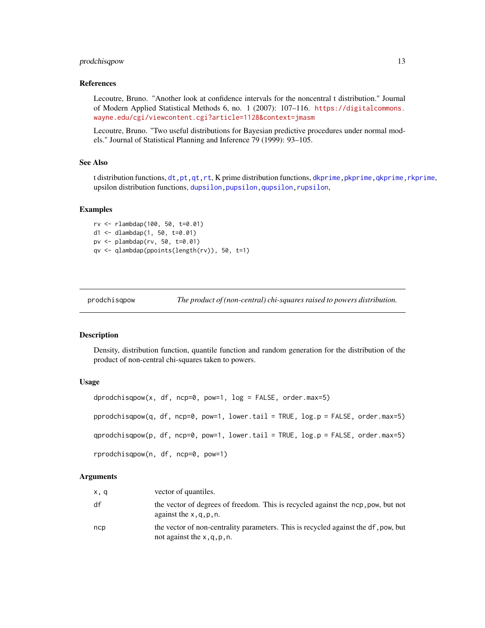# <span id="page-12-0"></span>prodchisqpow 13

# References

Lecoutre, Bruno. "Another look at confidence intervals for the noncentral t distribution." Journal of Modern Applied Statistical Methods 6, no. 1 (2007): 107–116. [https://digitalcommons.](https://digitalcommons.wayne.edu/cgi/viewcontent.cgi?article=1128&context=jmasm) [wayne.edu/cgi/viewcontent.cgi?article=1128&context=jmasm](https://digitalcommons.wayne.edu/cgi/viewcontent.cgi?article=1128&context=jmasm)

Lecoutre, Bruno. "Two useful distributions for Bayesian predictive procedures under normal models." Journal of Statistical Planning and Inference 79 (1999): 93–105.

# See Also

t distribution functions, [dt,pt,qt,rt](#page-0-0), K prime distribution functions, dkprime, pkprime, qkprime, rkprime, upsilon distribution functions, dupsilon, pupsilon, qupsilon, rupsilon,

# Examples

```
rv <- rlambdap(100, 50, t=0.01)
d1 <- dlambdap(1, 50, t=0.01)pv <- plambdap(rv, 50, t=0.01)
qv <- qlambdap(ppoints(length(rv)), 50, t=1)
```
prodchisqpow *The product of (non-central) chi-squares raised to powers distribution.*

# <span id="page-12-1"></span>Description

Density, distribution function, quantile function and random generation for the distribution of the product of non-central chi-squares taken to powers.

#### Usage

```
dprodchisqpow(x, df, ncp=0, pow=1, log = FALSE, order.max=5)
pprodchisqpow(q, df, ncp=0, pow=1, lower.tail = TRUE, log.p = FALSE, order.max=5)
qprodchisqpow(p, df, ncp=0, pow=1, lower.tail = TRUE, log.p = FALSE, order.max=5)
rprodchisqpow(n, df, ncp=0, pow=1)
```
#### Arguments

| x, q | vector of quantiles.                                                                                                 |
|------|----------------------------------------------------------------------------------------------------------------------|
| df   | the vector of degrees of freedom. This is recycled against the ncp, pow, but not<br>against the $x, q, p, n$ .       |
| ncp  | the vector of non-centrality parameters. This is recycled against the df, pow, but<br>not against the $x, q, p, n$ . |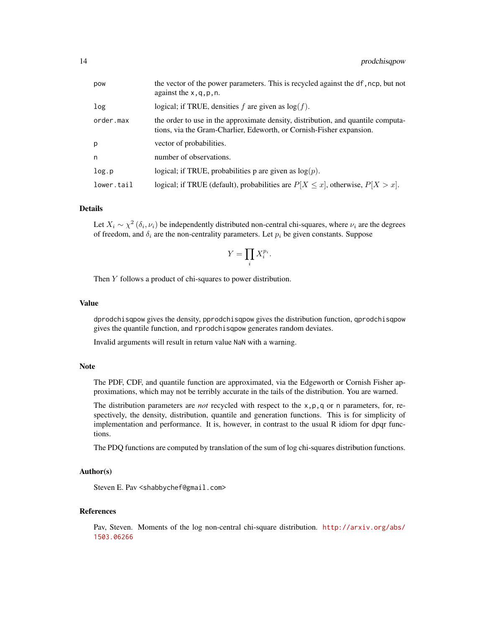| pow        | the vector of the power parameters. This is recycled against the df, ncp, but not<br>against the $x, q, p, n$ .                                          |
|------------|----------------------------------------------------------------------------------------------------------------------------------------------------------|
| log        | logical; if TRUE, densities f are given as $log(f)$ .                                                                                                    |
| order.max  | the order to use in the approximate density, distribution, and quantile computa-<br>tions, via the Gram-Charlier, Edeworth, or Cornish-Fisher expansion. |
| p          | vector of probabilities.                                                                                                                                 |
| n          | number of observations.                                                                                                                                  |
| log.p      | logical; if TRUE, probabilities p are given as $log(p)$ .                                                                                                |
| lower.tail | logical; if TRUE (default), probabilities are $P[X \le x]$ , otherwise, $P[X > x]$ .                                                                     |

# Details

Let  $X_i \sim \chi^2(\delta_i, \nu_i)$  be independently distributed non-central chi-squares, where  $\nu_i$  are the degrees of freedom, and  $\delta_i$  are the non-centrality parameters. Let  $p_i$  be given constants. Suppose

$$
Y = \prod_i X_i^{p_i}.
$$

Then Y follows a product of chi-squares to power distribution.

#### Value

dprodchisqpow gives the density, pprodchisqpow gives the distribution function, qprodchisqpow gives the quantile function, and rprodchisqpow generates random deviates.

Invalid arguments will result in return value NaN with a warning.

# **Note**

The PDF, CDF, and quantile function are approximated, via the Edgeworth or Cornish Fisher approximations, which may not be terribly accurate in the tails of the distribution. You are warned.

The distribution parameters are *not* recycled with respect to the x,p,q or n parameters, for, respectively, the density, distribution, quantile and generation functions. This is for simplicity of implementation and performance. It is, however, in contrast to the usual R idiom for dpqr functions.

The PDQ functions are computed by translation of the sum of log chi-squares distribution functions.

# Author(s)

Steven E. Pav <shabbychef@gmail.com>

# References

Pav, Steven. Moments of the log non-central chi-square distribution. [http://arxiv.org/abs/](http://arxiv.org/abs/1503.06266) [1503.06266](http://arxiv.org/abs/1503.06266)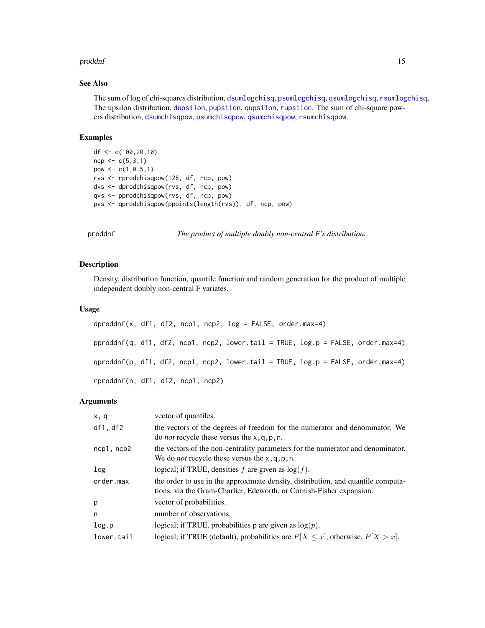#### <span id="page-14-0"></span>proddnf 15

# See Also

The sum of log of chi-squares distribution, [dsumlogchisq](#page-23-1), [psumlogchisq](#page-23-1), [qsumlogchisq](#page-23-1), [rsumlogchisq](#page-23-1), The upsilon distribution, [dupsilon](#page-25-1), [pupsilon](#page-25-1), [qupsilon](#page-25-1), [rupsilon](#page-25-1). The sum of chi-square powers distribution, [dsumchisqpow](#page-22-1), [psumchisqpow](#page-22-1), [qsumchisqpow](#page-22-1), [rsumchisqpow](#page-22-1).

# Examples

```
df <- c(100,20,10)
ncp < -c(5,3,1)pow <-c(1,0.5,1)rvs <- rprodchisqpow(128, df, ncp, pow)
dvs <- dprodchisqpow(rvs, df, ncp, pow)
qvs <- pprodchisqpow(rvs, df, ncp, pow)
pvs <- qprodchisqpow(ppoints(length(rvs)), df, ncp, pow)
```
proddnf *The product of multiple doubly non-central F's distribution.*

# Description

Density, distribution function, quantile function and random generation for the product of multiple independent doubly non-central F variates.

# Usage

```
dproddf(x, df1, df2, ncp1, ncp2, log = FALSE, order.max=4)pproddnf(q, df1, df2, ncp1, ncp2, lower.tail = TRUE, log.p = FALSE, order.max=4)
qproddnf(p, df1, df2, ncp1, ncp2, lower.tail = TRUE, log.p = FALSE, order.max=4)
rproddnf(n, df1, df2, ncp1, ncp2)
```
#### Arguments

| x, q            | vector of quantiles.                                                                                                                                     |
|-----------------|----------------------------------------------------------------------------------------------------------------------------------------------------------|
| df1, df2        | the vectors of the degrees of freedom for the numerator and denominator. We<br>do <i>not</i> recycle these versus the $x$ , q, p, n.                     |
| $ncp1$ , $ncp2$ | the vectors of the non-centrality parameters for the numerator and denominator.<br>We do <i>not</i> recycle these versus the $x$ , q, p, n.              |
| log             | logical; if TRUE, densities f are given as $log(f)$ .                                                                                                    |
| order.max       | the order to use in the approximate density, distribution, and quantile computa-<br>tions, via the Gram-Charlier, Edeworth, or Cornish-Fisher expansion. |
| p               | vector of probabilities.                                                                                                                                 |
| n               | number of observations.                                                                                                                                  |
| log.p           | logical; if TRUE, probabilities p are given as $log(p)$ .                                                                                                |
| lower.tail      | logical; if TRUE (default), probabilities are $P[X \le x]$ , otherwise, $P[X > x]$ .                                                                     |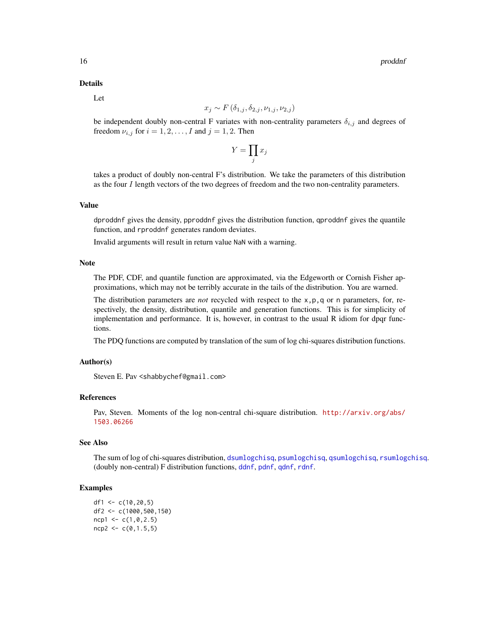#### <span id="page-15-0"></span>Details

Let

$$
x_j \sim F(\delta_{1,j}, \delta_{2,j}, \nu_{1,j}, \nu_{2,j})
$$

be independent doubly non-central F variates with non-centrality parameters  $\delta_{i,j}$  and degrees of freedom  $\nu_{i,j}$  for  $i = 1, 2, \dots, I$  and  $j = 1, 2$ . Then

$$
Y=\prod_j x_j
$$

takes a product of doubly non-central F's distribution. We take the parameters of this distribution as the four I length vectors of the two degrees of freedom and the two non-centrality parameters.

# Value

dproddnf gives the density, pproddnf gives the distribution function, qproddnf gives the quantile function, and rproddnf generates random deviates.

Invalid arguments will result in return value NaN with a warning.

#### Note

The PDF, CDF, and quantile function are approximated, via the Edgeworth or Cornish Fisher approximations, which may not be terribly accurate in the tails of the distribution. You are warned.

The distribution parameters are *not* recycled with respect to the x,p,q or n parameters, for, respectively, the density, distribution, quantile and generation functions. This is for simplicity of implementation and performance. It is, however, in contrast to the usual R idiom for dpqr functions.

The PDQ functions are computed by translation of the sum of log chi-squares distribution functions.

# Author(s)

Steven E. Pav <shabbychef@gmail.com>

# References

Pav, Steven. Moments of the log non-central chi-square distribution. [http://arxiv.org/abs/](http://arxiv.org/abs/1503.06266) [1503.06266](http://arxiv.org/abs/1503.06266)

# See Also

The sum of log of chi-squares distribution, [dsumlogchisq](#page-23-1), [psumlogchisq](#page-23-1), [qsumlogchisq](#page-23-1), [rsumlogchisq](#page-23-1). (doubly non-central) F distribution functions, [ddnf](#page-5-1), [pdnf](#page-5-1), [qdnf](#page-5-1), [rdnf](#page-5-1).

# Examples

df1 <-  $c(10, 20, 5)$ df2 <- c(1000,500,150)  $ncp1 < -c(1, 0, 2.5)$  $ncp2 < -c(0, 1.5, 5)$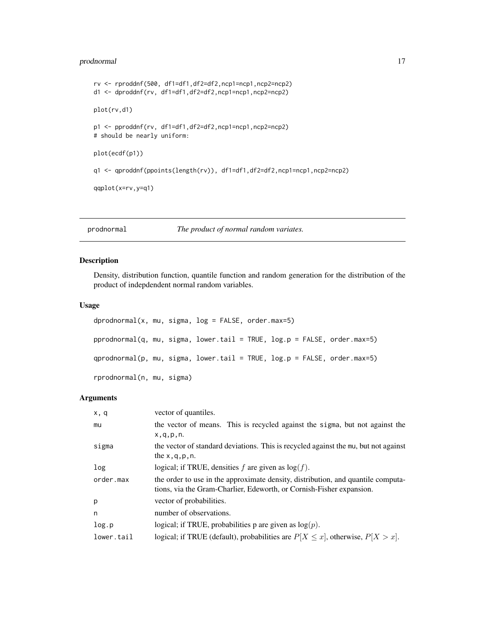# <span id="page-16-0"></span>prodnormal 17

```
rv <- rproddnf(500, df1=df1,df2=df2,ncp1=ncp1,ncp2=ncp2)
d1 <- dproddnf(rv, df1=df1,df2=df2,ncp1=ncp1,ncp2=ncp2)
plot(rv,d1)
p1 <- pproddnf(rv, df1=df1,df2=df2,ncp1=ncp1,ncp2=ncp2)
# should be nearly uniform:
plot(ecdf(p1))
q1 <- qproddnf(ppoints(length(rv)), df1=df1,df2=df2,ncp1=ncp1,ncp2=ncp2)
qqplot(x=rv,y=q1)
```
# prodnormal *The product of normal random variates.*

# Description

Density, distribution function, quantile function and random generation for the distribution of the product of indepdendent normal random variables.

# Usage

```
dprodnormal(x, mu, sigma, log = FALSE, order.max=5)pprodnormal(q, mu, sigma, lower.tail = TRUE, log.p = FALSE, order.max=5)
qprodnormal(p, mu, sigma, lower.tail = TRUE, log.p = FALSE, order.max=5)
rprodnormal(n, mu, sigma)
```
# Arguments

| x, q       | vector of quantiles.                                                                                                                                     |
|------------|----------------------------------------------------------------------------------------------------------------------------------------------------------|
| mu         | the vector of means. This is recycled against the sigma, but not against the                                                                             |
|            | x, q, p, n.                                                                                                                                              |
| sigma      | the vector of standard deviations. This is recycled against the mu, but not against                                                                      |
|            | the $x, q, p, n$ .                                                                                                                                       |
| log        | logical; if TRUE, densities f are given as $log(f)$ .                                                                                                    |
| order.max  | the order to use in the approximate density, distribution, and quantile computa-<br>tions, via the Gram-Charlier, Edeworth, or Cornish-Fisher expansion. |
| p          | vector of probabilities.                                                                                                                                 |
| n          | number of observations.                                                                                                                                  |
| log.p      | logical; if TRUE, probabilities p are given as $log(p)$ .                                                                                                |
| lower.tail | logical; if TRUE (default), probabilities are $P[X \le x]$ , otherwise, $P[X > x]$ .                                                                     |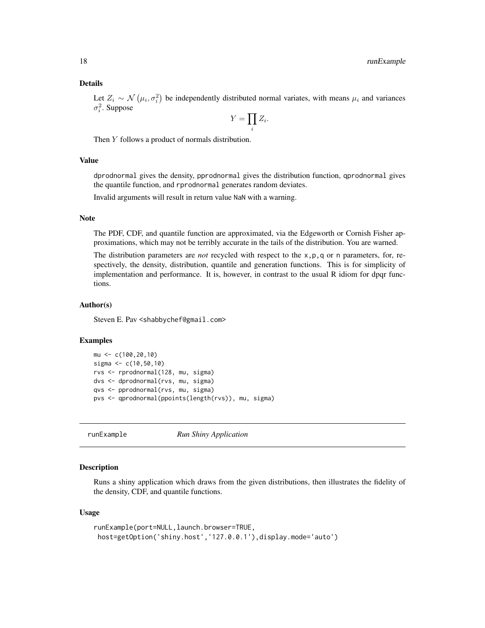# <span id="page-17-0"></span>Details

Let  $Z_i \sim \mathcal{N}(\mu_i, \sigma_i^2)$  be independently distributed normal variates, with means  $\mu_i$  and variances  $\sigma_i^2$ . Suppose

$$
Y=\prod_i Z_i.
$$

Then Y follows a product of normals distribution.

# Value

dprodnormal gives the density, pprodnormal gives the distribution function, qprodnormal gives the quantile function, and rprodnormal generates random deviates.

Invalid arguments will result in return value NaN with a warning.

#### Note

The PDF, CDF, and quantile function are approximated, via the Edgeworth or Cornish Fisher approximations, which may not be terribly accurate in the tails of the distribution. You are warned.

The distribution parameters are *not* recycled with respect to the x,p,q or n parameters, for, respectively, the density, distribution, quantile and generation functions. This is for simplicity of implementation and performance. It is, however, in contrast to the usual R idiom for dpqr functions.

#### Author(s)

Steven E. Pav <shabbychef@gmail.com>

#### Examples

```
mu <- c(100,20,10)
sigma <- c(10,50,10)
rvs <- rprodnormal(128, mu, sigma)
dvs <- dprodnormal(rvs, mu, sigma)
qvs <- pprodnormal(rvs, mu, sigma)
pvs <- qprodnormal(ppoints(length(rvs)), mu, sigma)
```
runExample *Run Shiny Application*

#### Description

Runs a shiny application which draws from the given distributions, then illustrates the fidelity of the density, CDF, and quantile functions.

#### Usage

```
runExample(port=NULL,launch.browser=TRUE,
host=getOption('shiny.host','127.0.0.1'),display.mode='auto')
```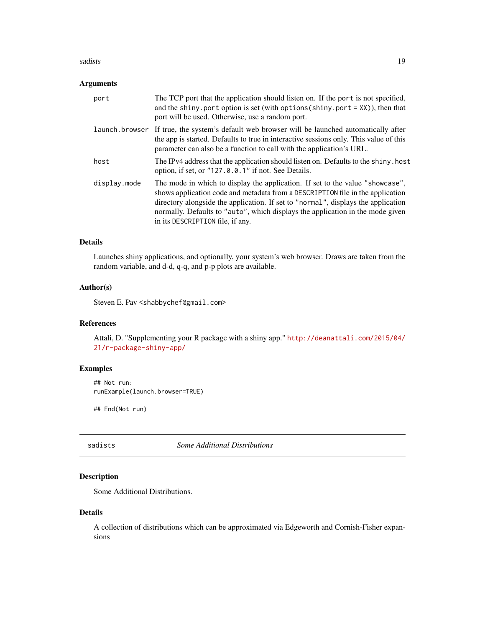#### <span id="page-18-0"></span>sadists and the same of the same of the same of the same of the same of the same of the same of the same of the same of the same of the same of the same of the same of the same of the same of the same of the same of the sa

# Arguments

| port           | The TCP port that the application should listen on. If the port is not specified,<br>and the shiny. port option is set (with options (shiny. port = $XX$ )), then that<br>port will be used. Otherwise, use a random port.                                                                                                                                                 |
|----------------|----------------------------------------------------------------------------------------------------------------------------------------------------------------------------------------------------------------------------------------------------------------------------------------------------------------------------------------------------------------------------|
| launch.browser | If true, the system's default web browser will be launched automatically after<br>the app is started. Defaults to true in interactive sessions only. This value of this<br>parameter can also be a function to call with the application's URL.                                                                                                                            |
| host           | The IPv4 address that the application should listen on. Defaults to the shiny, host<br>option, if set, or "127.0.0.1" if not. See Details.                                                                                                                                                                                                                                 |
| display.mode   | The mode in which to display the application. If set to the value "showcase",<br>shows application code and metadata from a DESCRIPTION file in the application<br>directory alongside the application. If set to "normal", displays the application<br>normally. Defaults to "auto", which displays the application in the mode given<br>in its DESCRIPTION file, if any. |

# Details

Launches shiny applications, and optionally, your system's web browser. Draws are taken from the random variable, and d-d, q-q, and p-p plots are available.

# Author(s)

Steven E. Pav <shabbychef@gmail.com>

# References

Attali, D. "Supplementing your R package with a shiny app." [http://deanattali.com/2015/04/](http://deanattali.com/2015/04/21/r-package-shiny-app/) [21/r-package-shiny-app/](http://deanattali.com/2015/04/21/r-package-shiny-app/)

# Examples

## Not run: runExample(launch.browser=TRUE)

## End(Not run)

sadists *Some Additional Distributions*

# Description

Some Additional Distributions.

#### Details

A collection of distributions which can be approximated via Edgeworth and Cornish-Fisher expansions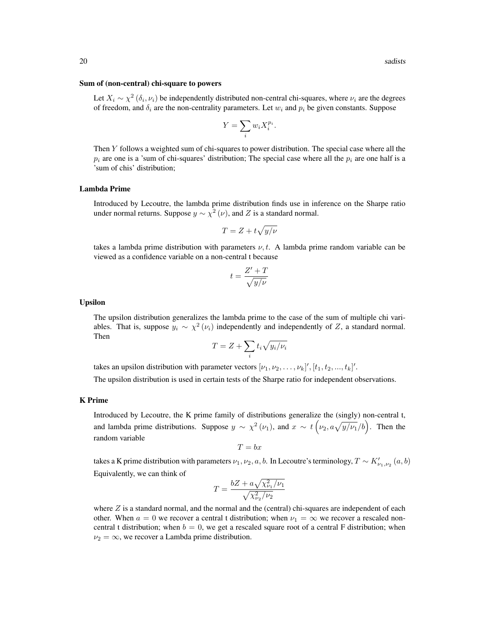#### Sum of (non-central) chi-square to powers

Let  $X_i \sim \chi^2(\delta_i, \nu_i)$  be independently distributed non-central chi-squares, where  $\nu_i$  are the degrees of freedom, and  $\delta_i$  are the non-centrality parameters. Let  $w_i$  and  $p_i$  be given constants. Suppose

$$
Y = \sum_{i} w_i X_i^{p_i}.
$$

Then Y follows a weighted sum of chi-squares to power distribution. The special case where all the  $p_i$  are one is a 'sum of chi-squares' distribution; The special case where all the  $p_i$  are one half is a 'sum of chis' distribution;

# Lambda Prime

Introduced by Lecoutre, the lambda prime distribution finds use in inference on the Sharpe ratio under normal returns. Suppose  $y \sim \chi^2(\nu)$ , and Z is a standard normal.

$$
T = Z + t\sqrt{y/\nu}
$$

takes a lambda prime distribution with parameters  $\nu, t$ . A lambda prime random variable can be viewed as a confidence variable on a non-central t because

$$
t = \frac{Z' + T}{\sqrt{y/\nu}}
$$

#### Upsilon

The upsilon distribution generalizes the lambda prime to the case of the sum of multiple chi variables. That is, suppose  $y_i \sim \chi^2(\nu_i)$  independently and independently of Z, a standard normal. Then

$$
T = Z + \sum_{i} t_i \sqrt{y_i/\nu_i}
$$

takes an upsilon distribution with parameter vectors  $[\nu_1, \nu_2, \ldots, \nu_k]'$ ,  $[t_1, t_2, \ldots, t_k]'$ .

The upsilon distribution is used in certain tests of the Sharpe ratio for independent observations.

#### K Prime

Introduced by Lecoutre, the K prime family of distributions generalize the (singly) non-central t, and lambda prime distributions. Suppose  $y \sim \chi^2(\nu_1)$ , and  $x \sim t(\nu_2, a\sqrt{y/\nu_1}/b)$ . Then the random variable

$$
T = bx
$$

takes a K prime distribution with parameters  $\nu_1, \nu_2, a, b$ . In Lecoutre's terminology,  $T \sim K'_{\nu_1, \nu_2}(a, b)$ Equivalently, we can think of

$$
T = \frac{bZ + a\sqrt{\chi_{\nu_1}^2/\nu_1}}{\sqrt{\chi_{\nu_2}^2/\nu_2}}
$$

where  $Z$  is a standard normal, and the normal and the (central) chi-squares are independent of each other. When  $a = 0$  we recover a central t distribution; when  $\nu_1 = \infty$  we recover a rescaled noncentral t distribution; when  $b = 0$ , we get a rescaled square root of a central F distribution; when  $\nu_2 = \infty$ , we recover a Lambda prime distribution.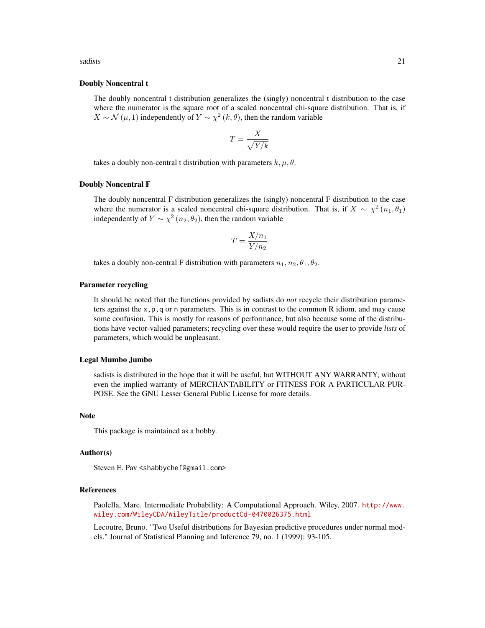sadists 21

# Doubly Noncentral t

The doubly noncentral t distribution generalizes the (singly) noncentral t distribution to the case where the numerator is the square root of a scaled noncentral chi-square distribution. That is, if  $X \sim \mathcal{N}(\mu, 1)$  independently of  $Y \sim \chi^2(k, \theta)$ , then the random variable

$$
T = \frac{X}{\sqrt{Y/k}}
$$

takes a doubly non-central t distribution with parameters  $k, \mu, \theta$ .

#### Doubly Noncentral F

The doubly noncentral F distribution generalizes the (singly) noncentral F distribution to the case where the numerator is a scaled noncentral chi-square distribution. That is, if  $X \sim \chi^2(n_1, \theta_1)$ independently of  $Y \sim \chi^2(n_2, \theta_2)$ , then the random variable

$$
T = \frac{X/n_1}{Y/n_2}
$$

takes a doubly non-central F distribution with parameters  $n_1, n_2, \theta_1, \theta_2$ .

# Parameter recycling

It should be noted that the functions provided by sadists do *not* recycle their distribution parameters against the  $x, p, q$  or n parameters. This is in contrast to the common R idiom, and may cause some confusion. This is mostly for reasons of performance, but also because some of the distributions have vector-valued parameters; recycling over these would require the user to provide *lists* of parameters, which would be unpleasant.

#### Legal Mumbo Jumbo

sadists is distributed in the hope that it will be useful, but WITHOUT ANY WARRANTY; without even the implied warranty of MERCHANTABILITY or FITNESS FOR A PARTICULAR PUR-POSE. See the GNU Lesser General Public License for more details.

#### **Note**

This package is maintained as a hobby.

# Author(s)

Steven E. Pav <shabbychef@gmail.com>

# References

Paolella, Marc. Intermediate Probability: A Computational Approach. Wiley, 2007. [http://www.](http://www.wiley.com/WileyCDA/WileyTitle/productCd-0470026375.html) [wiley.com/WileyCDA/WileyTitle/productCd-0470026375.html](http://www.wiley.com/WileyCDA/WileyTitle/productCd-0470026375.html)

Lecoutre, Bruno. "Two Useful distributions for Bayesian predictive procedures under normal models." Journal of Statistical Planning and Inference 79, no. 1 (1999): 93-105.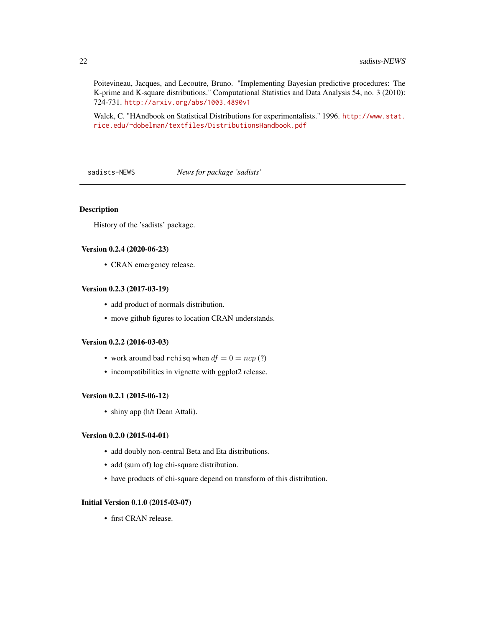Poitevineau, Jacques, and Lecoutre, Bruno. "Implementing Bayesian predictive procedures: The K-prime and K-square distributions." Computational Statistics and Data Analysis 54, no. 3 (2010): 724-731. <http://arxiv.org/abs/1003.4890v1>

Walck, C. "HAndbook on Statistical Distributions for experimentalists." 1996. [http://www.stat.](http://www.stat.rice.edu/~dobelman/textfiles/DistributionsHandbook.pdf) [rice.edu/~dobelman/textfiles/DistributionsHandbook.pdf](http://www.stat.rice.edu/~dobelman/textfiles/DistributionsHandbook.pdf)

sadists-NEWS *News for package 'sadists'*

# Description

History of the 'sadists' package.

# Version 0.2.4 (2020-06-23)

• CRAN emergency release.

# Version 0.2.3 (2017-03-19)

- add product of normals distribution.
- move github figures to location CRAN understands.

# Version 0.2.2 (2016-03-03)

- work around bad rchisq when  $df = 0 = ncp$  (?)
- incompatibilities in vignette with ggplot2 release.

#### Version 0.2.1 (2015-06-12)

• shiny app (h/t Dean Attali).

# Version 0.2.0 (2015-04-01)

- add doubly non-central Beta and Eta distributions.
- add (sum of) log chi-square distribution.
- have products of chi-square depend on transform of this distribution.

# Initial Version 0.1.0 (2015-03-07)

• first CRAN release.

<span id="page-21-0"></span>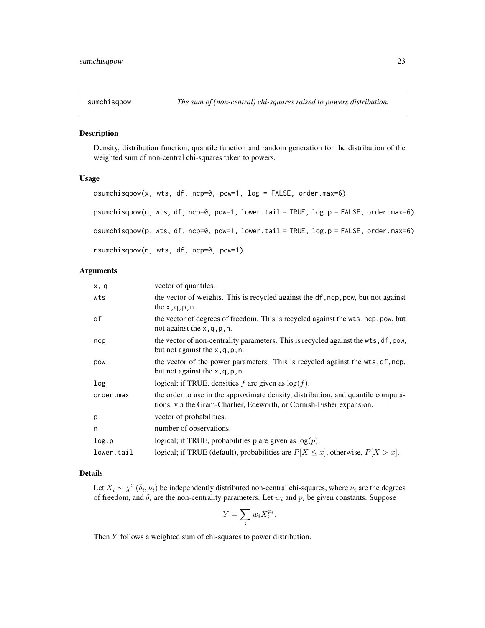<span id="page-22-0"></span>

#### <span id="page-22-1"></span>Description

Density, distribution function, quantile function and random generation for the distribution of the weighted sum of non-central chi-squares taken to powers.

# Usage

```
dsumchisqpow(x, wts, df, ncp=0, pow=1, log = FALSE, order.max=6)
psumchisqpow(q, wts, df, ncp=0, pow=1, lower.tail = TRUE, log.p = FALSE, order.max=6)
qsumchisqpow(p, wts, df, ncp=0, pow=1, lower.tail = TRUE, log.p = FALSE, order.max=6)
rsumchisqpow(n, wts, df, ncp=0, pow=1)
```
# Arguments

| x, q       | vector of quantiles.                                                                                                                                     |
|------------|----------------------------------------------------------------------------------------------------------------------------------------------------------|
| wts        | the vector of weights. This is recycled against the df, ncp, pow, but not against<br>the $x, q, p, n$ .                                                  |
| df         | the vector of degrees of freedom. This is recycled against the wts, ncp, pow, but<br>not against the $x, q, p, n$ .                                      |
| ncp        | the vector of non-centrality parameters. This is recycled against the wts, df, pow,<br>but not against the $x$ , q, p, n.                                |
| pow        | the vector of the power parameters. This is recycled against the wts, df, ncp,<br>but not against the $x$ , q, p, n.                                     |
| log        | logical; if TRUE, densities f are given as $log(f)$ .                                                                                                    |
| order.max  | the order to use in the approximate density, distribution, and quantile computa-<br>tions, via the Gram-Charlier, Edeworth, or Cornish-Fisher expansion. |
| p          | vector of probabilities.                                                                                                                                 |
| n          | number of observations.                                                                                                                                  |
| log.p      | logical; if TRUE, probabilities p are given as $log(p)$ .                                                                                                |
| lower.tail | logical; if TRUE (default), probabilities are $P[X \le x]$ , otherwise, $P[X > x]$ .                                                                     |

# Details

Let  $X_i \sim \chi^2(\delta_i, \nu_i)$  be independently distributed non-central chi-squares, where  $\nu_i$  are the degrees of freedom, and  $\delta_i$  are the non-centrality parameters. Let  $w_i$  and  $p_i$  be given constants. Suppose

$$
Y = \sum_{i} w_i X_i^{p_i}.
$$

Then Y follows a weighted sum of chi-squares to power distribution.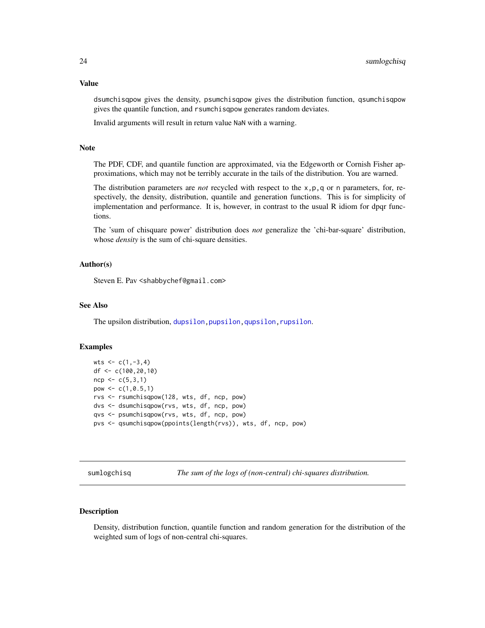# <span id="page-23-0"></span>Value

dsumchisqpow gives the density, psumchisqpow gives the distribution function, qsumchisqpow gives the quantile function, and rsumchisqpow generates random deviates.

Invalid arguments will result in return value NaN with a warning.

# Note

The PDF, CDF, and quantile function are approximated, via the Edgeworth or Cornish Fisher approximations, which may not be terribly accurate in the tails of the distribution. You are warned.

The distribution parameters are *not* recycled with respect to the x,p,q or n parameters, for, respectively, the density, distribution, quantile and generation functions. This is for simplicity of implementation and performance. It is, however, in contrast to the usual R idiom for dpqr functions.

The 'sum of chisquare power' distribution does *not* generalize the 'chi-bar-square' distribution, whose *density* is the sum of chi-square densities.

# Author(s)

Steven E. Pav < shabbychef@gmail.com>

# See Also

The upsilon distribution, dupsilon, pupsilon, qupsilon, rupsilon.

#### Examples

```
wts <-c(1,-3,4)df <- c(100,20,10)
ncp < -c(5,3,1)pow \leq c(1, 0.5, 1)rvs <- rsumchisqpow(128, wts, df, ncp, pow)
dvs <- dsumchisqpow(rvs, wts, df, ncp, pow)
qvs <- psumchisqpow(rvs, wts, df, ncp, pow)
pvs <- qsumchisqpow(ppoints(length(rvs)), wts, df, ncp, pow)
```
sumlogchisq *The sum of the logs of (non-central) chi-squares distribution.*

# <span id="page-23-1"></span>**Description**

Density, distribution function, quantile function and random generation for the distribution of the weighted sum of logs of non-central chi-squares.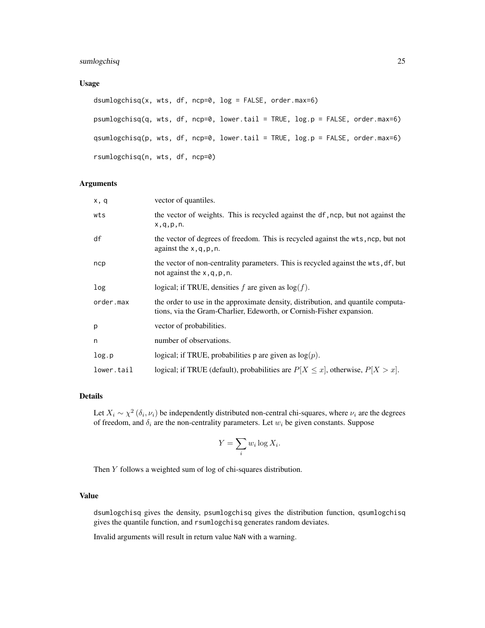## Usage

```
dsumlogchisq(x, wts, df, ncp=0, log = FALSE, order.max=6)
psumlogchisq(q, wts, df, ncp=0, lower.tail = TRUE, log.p = FALSE, order.max=6)
qsumlogchisq(p, wts, df, ncp=0, lower.tail = TRUE, log.p = FALSE, order.max=6)
rsumlogchisq(n, wts, df, ncp=0)
```
# Arguments

| x, q       | vector of quantiles.                                                                                                                                     |
|------------|----------------------------------------------------------------------------------------------------------------------------------------------------------|
| wts        | the vector of weights. This is recycled against the df, ncp, but not against the<br>x, q, p, n.                                                          |
| df         | the vector of degrees of freedom. This is recycled against the wts, ncp, but not<br>against the $x, q, p, n$ .                                           |
| ncp        | the vector of non-centrality parameters. This is recycled against the wts, df, but<br>not against the $x, q, p, n$ .                                     |
| log        | logical; if TRUE, densities f are given as $log(f)$ .                                                                                                    |
| order.max  | the order to use in the approximate density, distribution, and quantile computa-<br>tions, via the Gram-Charlier, Edeworth, or Cornish-Fisher expansion. |
| p          | vector of probabilities.                                                                                                                                 |
| n          | number of observations.                                                                                                                                  |
| log.p      | logical; if TRUE, probabilities p are given as $log(p)$ .                                                                                                |
| lower.tail | logical; if TRUE (default), probabilities are $P[X \le x]$ , otherwise, $P[X > x]$ .                                                                     |

# Details

Let  $X_i \sim \chi^2(\delta_i, \nu_i)$  be independently distributed non-central chi-squares, where  $\nu_i$  are the degrees of freedom, and  $\delta_i$  are the non-centrality parameters. Let  $w_i$  be given constants. Suppose

$$
Y = \sum_{i} w_i \log X_i.
$$

Then Y follows a weighted sum of log of chi-squares distribution.

#### Value

dsumlogchisq gives the density, psumlogchisq gives the distribution function, qsumlogchisq gives the quantile function, and rsumlogchisq generates random deviates.

Invalid arguments will result in return value NaN with a warning.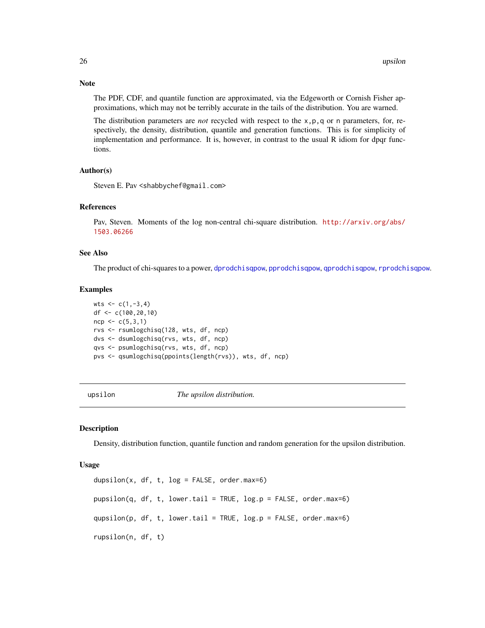Note

The PDF, CDF, and quantile function are approximated, via the Edgeworth or Cornish Fisher approximations, which may not be terribly accurate in the tails of the distribution. You are warned.

The distribution parameters are *not* recycled with respect to the x,p,q or n parameters, for, respectively, the density, distribution, quantile and generation functions. This is for simplicity of implementation and performance. It is, however, in contrast to the usual R idiom for dpqr functions.

#### Author(s)

Steven E. Pav <shabbychef@gmail.com>

# References

Pav, Steven. Moments of the log non-central chi-square distribution. [http://arxiv.org/abs/](http://arxiv.org/abs/1503.06266) [1503.06266](http://arxiv.org/abs/1503.06266)

# See Also

The product of chi-squares to a power, [dprodchisqpow](#page-12-1), [pprodchisqpow](#page-12-1), [qprodchisqpow](#page-12-1), [rprodchisqpow](#page-12-1).

#### Examples

wts  $<-c(1,-3,4)$ df <- c(100,20,10)  $ncp < -c(5,3,1)$ rvs <- rsumlogchisq(128, wts, df, ncp) dvs <- dsumlogchisq(rvs, wts, df, ncp) qvs <- psumlogchisq(rvs, wts, df, ncp) pvs <- qsumlogchisq(ppoints(length(rvs)), wts, df, ncp)

upsilon *The upsilon distribution.*

#### <span id="page-25-1"></span>**Description**

Density, distribution function, quantile function and random generation for the upsilon distribution.

#### Usage

dupsilon(x, df, t,  $log = FALSE$ , order.max=6) pupsilon(q, df, t, lower.tail = TRUE, log.p = FALSE, order.max=6) qupsilon(p, df, t, lower.tail = TRUE, log.p = FALSE, order.max=6) rupsilon(n, df, t)

<span id="page-25-0"></span>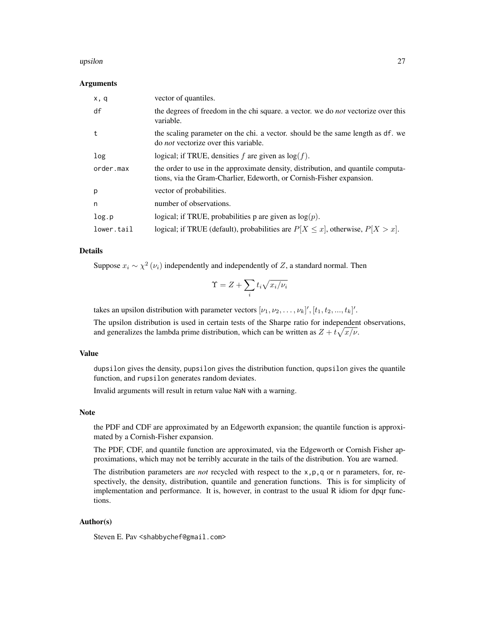#### upsilon 27

#### Arguments

| x, q       | vector of quantiles.                                                                                                                                     |
|------------|----------------------------------------------------------------------------------------------------------------------------------------------------------|
| df         | the degrees of freedom in the chi square. a vector. we do <i>not</i> vectorize over this<br>variable.                                                    |
| t          | the scaling parameter on the chi. a vector. should be the same length as df. we<br>do <i>not</i> vectorize over this variable.                           |
| log        | logical; if TRUE, densities $f$ are given as $log(f)$ .                                                                                                  |
| order.max  | the order to use in the approximate density, distribution, and quantile computa-<br>tions, via the Gram-Charlier, Edeworth, or Cornish-Fisher expansion. |
| p          | vector of probabilities.                                                                                                                                 |
| n          | number of observations.                                                                                                                                  |
| log.p      | logical; if TRUE, probabilities p are given as $log(p)$ .                                                                                                |
| lower.tail | logical; if TRUE (default), probabilities are $P[X \le x]$ , otherwise, $P[X > x]$ .                                                                     |

# Details

Suppose  $x_i \sim \chi^2(\nu_i)$  independently and independently of Z, a standard normal. Then

$$
\Upsilon = Z + \sum_i t_i \sqrt{x_i/\nu_i}
$$

takes an upsilon distribution with parameter vectors  $[\nu_1, \nu_2, \dots, \nu_k]'$ ,  $[t_1, t_2, ..., t_k]'$ .

The upsilon distribution is used in certain tests of the Sharpe ratio for independent observations, and generalizes the lambda prime distribution, which can be written as  $Z + t\sqrt{x/\nu}$ .

# Value

dupsilon gives the density, pupsilon gives the distribution function, qupsilon gives the quantile function, and rupsilon generates random deviates.

Invalid arguments will result in return value NaN with a warning.

# Note

the PDF and CDF are approximated by an Edgeworth expansion; the quantile function is approximated by a Cornish-Fisher expansion.

The PDF, CDF, and quantile function are approximated, via the Edgeworth or Cornish Fisher approximations, which may not be terribly accurate in the tails of the distribution. You are warned.

The distribution parameters are *not* recycled with respect to the x,p,q or n parameters, for, respectively, the density, distribution, quantile and generation functions. This is for simplicity of implementation and performance. It is, however, in contrast to the usual R idiom for dpqr functions.

# Author(s)

Steven E. Pav <shabbychef@gmail.com>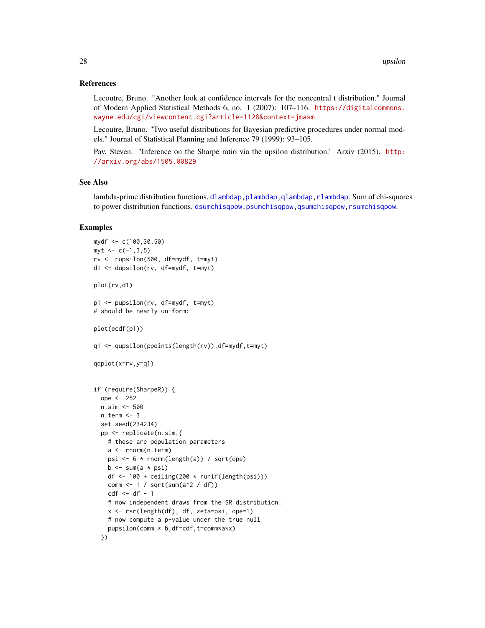## References

Lecoutre, Bruno. "Another look at confidence intervals for the noncentral t distribution." Journal of Modern Applied Statistical Methods 6, no. 1 (2007): 107–116. [https://digitalcommons.](https://digitalcommons.wayne.edu/cgi/viewcontent.cgi?article=1128&context=jmasm) [wayne.edu/cgi/viewcontent.cgi?article=1128&context=jmasm](https://digitalcommons.wayne.edu/cgi/viewcontent.cgi?article=1128&context=jmasm)

Lecoutre, Bruno. "Two useful distributions for Bayesian predictive procedures under normal models." Journal of Statistical Planning and Inference 79 (1999): 93–105.

Pav, Steven. "Inference on the Sharpe ratio via the upsilon distribution.' Arxiv (2015). [http:](http://arxiv.org/abs/1505.00829) [//arxiv.org/abs/1505.00829](http://arxiv.org/abs/1505.00829)

# See Also

lambda-prime distribution functions, dlambdap, plambdap, qlambdap, rlambdap. Sum of chi-squares to power distribution functions, [dsumchisqpow,psumchisqpow,qsumchisqpow,rsumchisqpow](#page-22-1).

# Examples

```
mydf <- c(100,30,50)
myt < -c(-1,3,5)rv <- rupsilon(500, df=mydf, t=myt)
d1 <- dupsilon(rv, df=mydf, t=myt)
plot(rv,d1)
p1 <- pupsilon(rv, df=mydf, t=myt)
# should be nearly uniform:
plot(ecdf(p1))
q1 <- qupsilon(ppoints(length(rv)),df=mydf,t=myt)
qqplot(x=rv,y=q1)
if (require(SharpeR)) {
  ope <- 252
  n.sim <- 500
  n.term <- 3
  set.seed(234234)
  pp <- replicate(n.sim,{
    # these are population parameters
    a <- rnorm(n.term)
    psi <- 6 * rnorm(length(a)) / sqrt(ope)
    b \leq -\text{sum}(a * psi)df \leftarrow 100 + ceiling(200 * runif(length(psi)))
    comm <- 1 / sqrt(sum(a^2 / df))
    cdf \leftarrow df - 1# now independent draws from the SR distribution:
    x <- rsr(length(df), df, zeta=psi, ope=1)
    # now compute a p-value under the true null
    pupsilon(comm * b,df=cdf,t=comm*a*x)
  })
```
<span id="page-27-0"></span>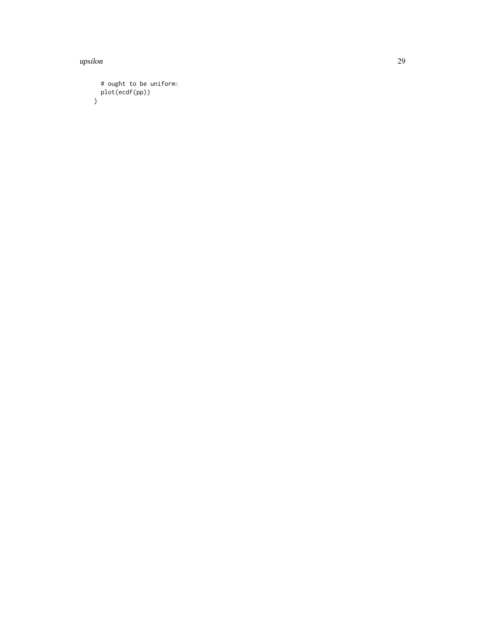upsilon 29

```
# ought to be uniform:
  plot(ecdf(pp))
}
```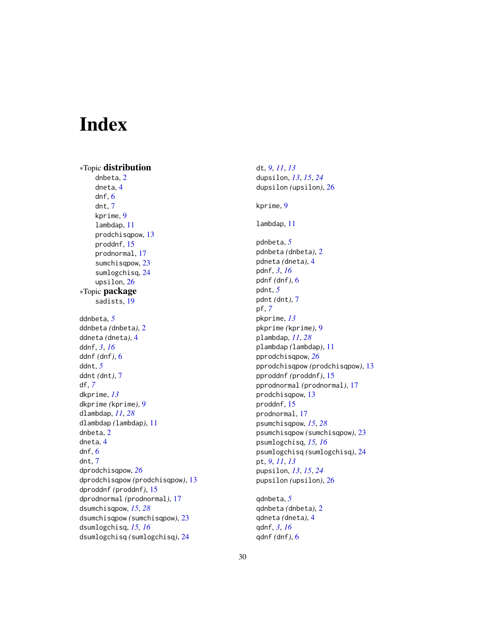# <span id="page-29-0"></span>Index

∗Topic distribution dnbeta, [2](#page-1-0) dneta, [4](#page-3-0) dnf, [6](#page-5-0) dnt, [7](#page-6-0) kprime, [9](#page-8-0) lambdap, [11](#page-10-0) prodchisqpow, [13](#page-12-0) proddnf, [15](#page-14-0) prodnormal, [17](#page-16-0) sumchisqpow, [23](#page-22-0) sumlogchisq, [24](#page-23-0) upsilon, [26](#page-25-0) ∗Topic package sadists, [19](#page-18-0) ddnbeta, *[5](#page-4-0)* ddnbeta *(*dnbeta*)*, [2](#page-1-0) ddneta *(*dneta*)*, [4](#page-3-0) ddnf, *[3](#page-2-0)*, *[16](#page-15-0)* ddnf *(*dnf*)*, [6](#page-5-0) ddnt, *[5](#page-4-0)* ddnt *(*dnt*)*, [7](#page-6-0) df, *[7](#page-6-0)* dkprime, *[13](#page-12-0)* dkprime *(*kprime*)*, [9](#page-8-0) dlambdap, *[11](#page-10-0)*, *[28](#page-27-0)* dlambdap *(*lambdap*)*, [11](#page-10-0) dnbeta, [2](#page-1-0) dneta, [4](#page-3-0) dnf, [6](#page-5-0) dnt, [7](#page-6-0) dprodchisqpow, *[26](#page-25-0)* dprodchisqpow *(*prodchisqpow*)*, [13](#page-12-0) dproddnf *(*proddnf*)*, [15](#page-14-0) dprodnormal *(*prodnormal*)*, [17](#page-16-0) dsumchisqpow, *[15](#page-14-0)*, *[28](#page-27-0)* dsumchisqpow *(*sumchisqpow*)*, [23](#page-22-0) dsumlogchisq, *[15,](#page-14-0) [16](#page-15-0)* dsumlogchisq *(*sumlogchisq*)*, [24](#page-23-0)

dt, *[9](#page-8-0)*, *[11](#page-10-0)*, *[13](#page-12-0)* dupsilon, *[13](#page-12-0)*, *[15](#page-14-0)*, *[24](#page-23-0)* dupsilon *(*upsilon*)*, [26](#page-25-0) kprime, [9](#page-8-0) lambdap, [11](#page-10-0) pdnbeta, *[5](#page-4-0)* pdnbeta *(*dnbeta*)*, [2](#page-1-0) pdneta *(*dneta*)*, [4](#page-3-0) pdnf, *[3](#page-2-0)*, *[16](#page-15-0)* pdnf *(*dnf*)*, [6](#page-5-0) pdnt, *[5](#page-4-0)* pdnt *(*dnt*)*, [7](#page-6-0) pf, *[7](#page-6-0)* pkprime, *[13](#page-12-0)* pkprime *(*kprime*)*, [9](#page-8-0) plambdap, *[11](#page-10-0)*, *[28](#page-27-0)* plambdap *(*lambdap*)*, [11](#page-10-0) pprodchisqpow, *[26](#page-25-0)* pprodchisqpow *(*prodchisqpow*)*, [13](#page-12-0) pproddnf *(*proddnf*)*, [15](#page-14-0) pprodnormal *(*prodnormal*)*, [17](#page-16-0) prodchisqpow, [13](#page-12-0) proddnf, [15](#page-14-0) prodnormal, [17](#page-16-0) psumchisqpow, *[15](#page-14-0)*, *[28](#page-27-0)* psumchisqpow *(*sumchisqpow*)*, [23](#page-22-0) psumlogchisq, *[15,](#page-14-0) [16](#page-15-0)* psumlogchisq *(*sumlogchisq*)*, [24](#page-23-0) pt, *[9](#page-8-0)*, *[11](#page-10-0)*, *[13](#page-12-0)* pupsilon, *[13](#page-12-0)*, *[15](#page-14-0)*, *[24](#page-23-0)* pupsilon *(*upsilon*)*, [26](#page-25-0) qdnbeta, *[5](#page-4-0)*

qdnbeta *(*dnbeta*)*, [2](#page-1-0) qdneta *(*dneta*)*, [4](#page-3-0) qdnf, *[3](#page-2-0)*, *[16](#page-15-0)* qdnf *(*dnf*)*, [6](#page-5-0)